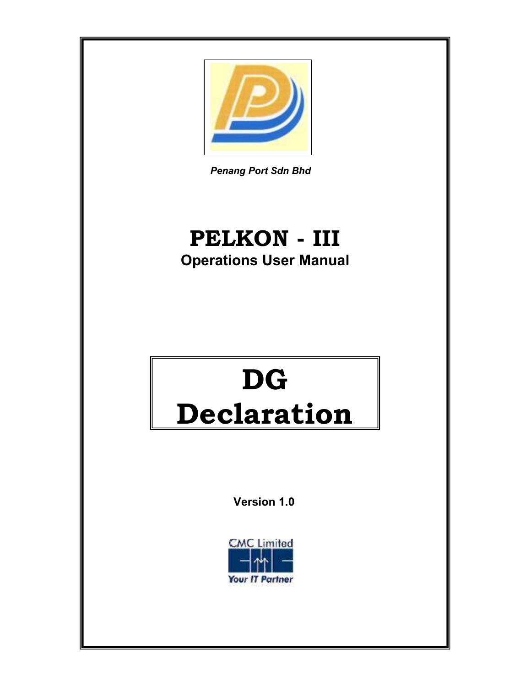

Penang Port Sdn Bhd

## PELKON - III Operations User Manual

# DG Declaration

Version 1.0

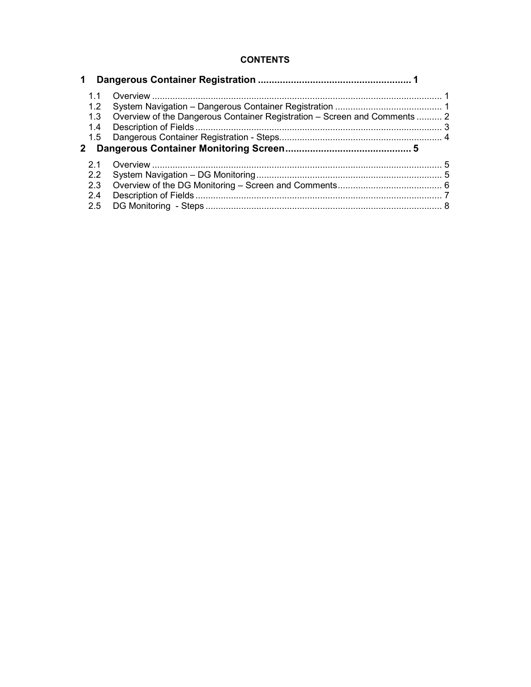### **CONTENTS**

| $\mathbf 1$                                                 |                                                                           |  |
|-------------------------------------------------------------|---------------------------------------------------------------------------|--|
| 1.1<br>$1.2^{\circ}$<br>1.3<br>1.4<br>1.5<br>$\mathbf{2}^-$ | Overview of the Dangerous Container Registration – Screen and Comments  2 |  |
| 2.1                                                         |                                                                           |  |
| 2.2                                                         |                                                                           |  |
| 2.3                                                         |                                                                           |  |
| 2.4                                                         |                                                                           |  |
| 2.5                                                         |                                                                           |  |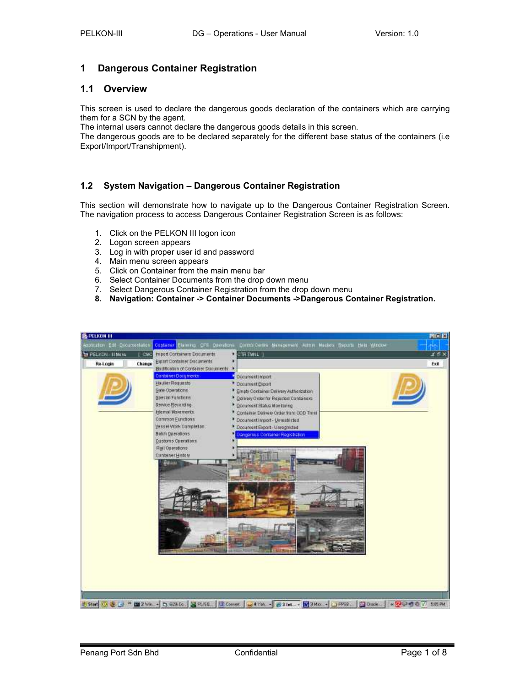### 1 Dangerous Container Registration

### 1.1 Overview

This screen is used to declare the dangerous goods declaration of the containers which are carrying them for a SCN by the agent.

The internal users cannot declare the dangerous goods details in this screen.

The dangerous goods are to be declared separately for the different base status of the containers (i.e Export/Import/Transhipment).

### 1.2 System Navigation – Dangerous Container Registration

This section will demonstrate how to navigate up to the Dangerous Container Registration Screen. The navigation process to access Dangerous Container Registration Screen is as follows:

- 1. Click on the PELKON III logon icon
- 2. Logon screen appears
- 3. Log in with proper user id and password
- 4. Main menu screen appears
- 5. Click on Container from the main menu bar
- 6. Select Container Documents from the drop down menu
- 7. Select Dangerous Container Registration from the drop down menu
- 8. Navigation: Container -> Container Documents ->Dangerous Container Registration.

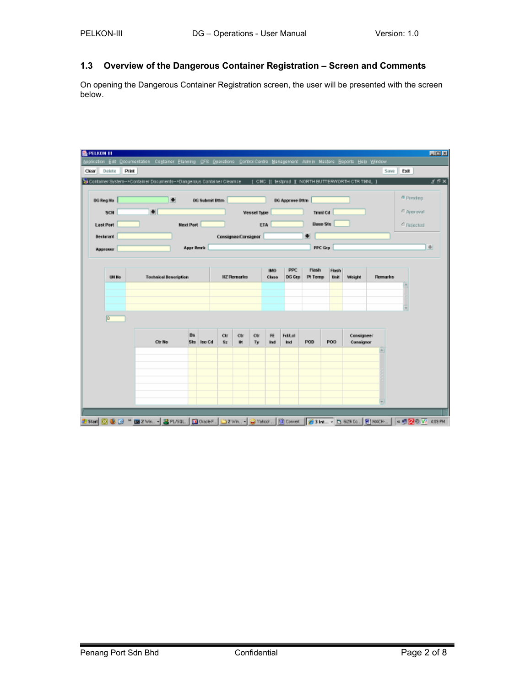### 1.3 Overview of the Dangerous Container Registration – Screen and Comments

On opening the Dangerous Container Registration screen, the user will be presented with the screen below.

| н                |           | <b>DG Submit DNm</b>         |                                |          |                    |                     |                        |     |                 |                             | <sup>6</sup> Pending |
|------------------|-----------|------------------------------|--------------------------------|----------|--------------------|---------------------|------------------------|-----|-----------------|-----------------------------|----------------------|
| ы                |           |                              |                                |          | <b>Vessel Type</b> |                     | <b>00 Approve Ottm</b> |     | Tmnl Cd         |                             | C Approval.          |
| <b>Next Port</b> |           |                              | <b>Base Sts</b>                |          |                    |                     |                        |     | C Rejected      |                             |                      |
|                  |           |                              | H.                             |          |                    |                     |                        |     |                 |                             |                      |
|                  |           |                              |                                |          |                    |                     |                        |     |                 |                             | $\frac{1}{2}$        |
|                  |           |                              |                                |          |                    |                     |                        |     |                 |                             |                      |
|                  |           |                              |                                |          |                    | IMO:<br>Class       | PPC<br>DG Gra          |     | Flash<br>Unit   | Weight<br><b>Remarks</b>    |                      |
|                  |           |                              |                                |          |                    |                     |                        |     |                 |                             |                      |
|                  |           |                              |                                |          |                    |                     |                        |     |                 |                             |                      |
|                  |           |                              |                                |          |                    |                     |                        |     |                 |                             | ÷                    |
|                  |           |                              |                                |          |                    |                     |                        |     |                 |                             |                      |
| <b>Ctr No</b>    | <b>Bs</b> |                              | Ctr<br>82                      | Ctr<br>Ħ | Ctr<br>Ty          | <b>FE</b><br>Ind    | Follat<br>Ind          | POD | PO <sub>0</sub> | Consignee/<br>Consignor     |                      |
|                  |           |                              |                                |          |                    |                     |                        |     |                 |                             |                      |
|                  |           |                              |                                |          |                    |                     |                        |     |                 |                             |                      |
|                  |           |                              |                                |          |                    |                     |                        |     |                 |                             |                      |
|                  |           | <b>Technical Description</b> | <b>Appr Rmrk</b><br>Sts Iso Cd |          | <b>HZ Remarks</b>  | Consignee/Consignor | ETA                    |     |                 | PPC Grp<br>Flash<br>Pt Temp |                      |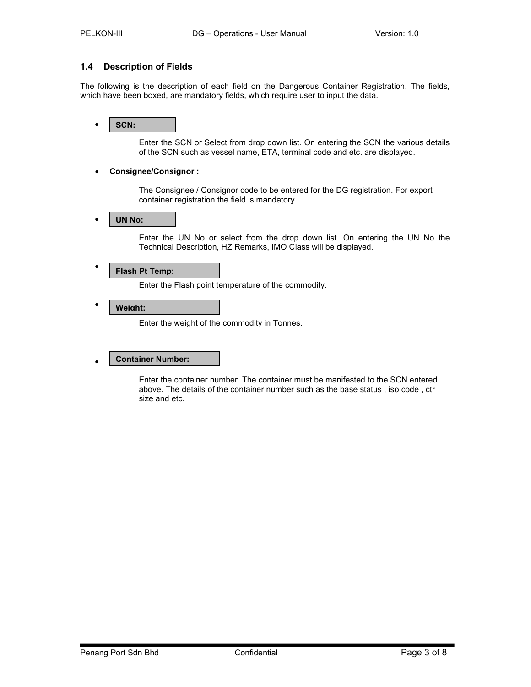### 1.4 Description of Fields

The following is the description of each field on the Dangerous Container Registration. The fields, which have been boxed, are mandatory fields, which require user to input the data.

#### • SCN:

Enter the SCN or Select from drop down list. On entering the SCN the various details of the SCN such as vessel name, ETA, terminal code and etc. are displayed.

### • Consignee/Consignor :

The Consignee / Consignor code to be entered for the DG registration. For export container registration the field is mandatory.

#### • l UN No:

Enter the UN No or select from the drop down list. On entering the UN No the Technical Description, HZ Remarks, IMO Class will be displayed.

#### • Flash Pt Temp:

Enter the Flash point temperature of the commodity.

#### • Weight:

Enter the weight of the commodity in Tonnes.

#### • Container Number:

Enter the container number. The container must be manifested to the SCN entered above. The details of the container number such as the base status , iso code , ctr size and etc.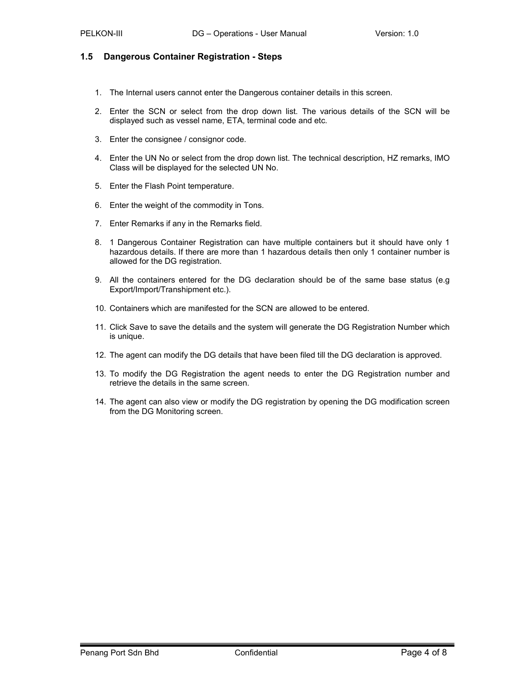### 1.5 Dangerous Container Registration - Steps

- 1. The Internal users cannot enter the Dangerous container details in this screen.
- 2. Enter the SCN or select from the drop down list. The various details of the SCN will be displayed such as vessel name, ETA, terminal code and etc.
- 3. Enter the consignee / consignor code.
- 4. Enter the UN No or select from the drop down list. The technical description, HZ remarks, IMO Class will be displayed for the selected UN No.
- 5. Enter the Flash Point temperature.
- 6. Enter the weight of the commodity in Tons.
- 7. Enter Remarks if any in the Remarks field.
- 8. 1 Dangerous Container Registration can have multiple containers but it should have only 1 hazardous details. If there are more than 1 hazardous details then only 1 container number is allowed for the DG registration.
- 9. All the containers entered for the DG declaration should be of the same base status (e.g Export/Import/Transhipment etc.).
- 10. Containers which are manifested for the SCN are allowed to be entered.
- 11. Click Save to save the details and the system will generate the DG Registration Number which is unique.
- 12. The agent can modify the DG details that have been filed till the DG declaration is approved.
- 13. To modify the DG Registration the agent needs to enter the DG Registration number and retrieve the details in the same screen.
- 14. The agent can also view or modify the DG registration by opening the DG modification screen from the DG Monitoring screen.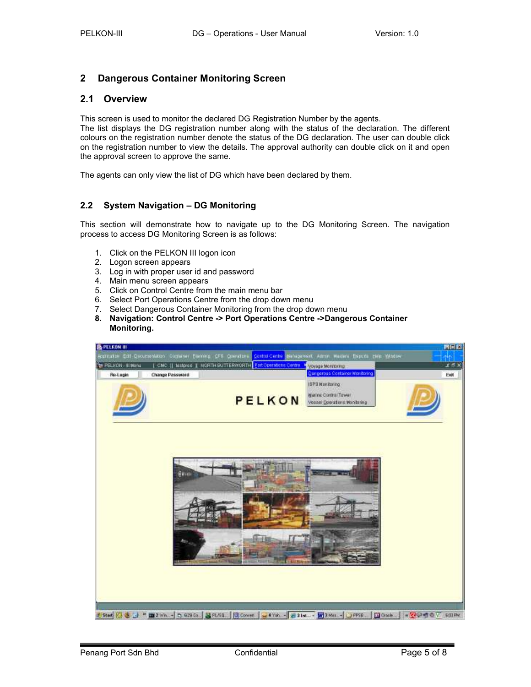### 2 Dangerous Container Monitoring Screen

### 2.1 Overview

This screen is used to monitor the declared DG Registration Number by the agents.

The list displays the DG registration number along with the status of the declaration. The different colours on the registration number denote the status of the DG declaration. The user can double click on the registration number to view the details. The approval authority can double click on it and open the approval screen to approve the same.

The agents can only view the list of DG which have been declared by them.

### 2.2 System Navigation – DG Monitoring

This section will demonstrate how to navigate up to the DG Monitoring Screen. The navigation process to access DG Monitoring Screen is as follows:

- 1. Click on the PELKON III logon icon
- 2. Logon screen appears
- 3. Log in with proper user id and password
- 4. Main menu screen appears
- 5. Click on Control Centre from the main menu bar
- 6. Select Port Operations Centre from the drop down menu
- 7. Select Dangerous Container Monitoring from the drop down menu
- 8. Navigation: Control Centre -> Port Operations Centre ->Dangerous Container Monitoring.

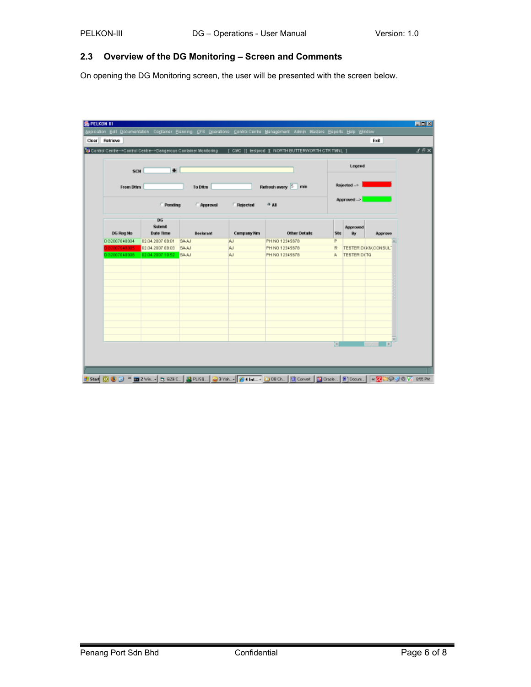### 2.3 Overview of the DG Monitoring – Screen and Comments

On opening the DG Monitoring screen, the user will be presented with the screen below.

| Legend<br>$\bullet$<br>SCN<br>Rejected ><br>Refresh every 5 min<br>From Dttm<br>To Dttm<br>Approved ><br><b>Fending</b><br>$\approx$ and<br><b>Approval</b><br>Rejected<br>DG<br>Submit<br>Approved<br>DG Reg No.<br><b>Date Time</b><br>Company Nm<br><b>Other Details</b><br><b>Declarant</b><br>Sts<br>By<br>Approve<br>D62007040004<br>02.04.2007 09:01<br>PH NO 12345678<br>P<br><b>BAJN</b><br>W<br>03007040005<br>02.04.2007 09:03<br><b>BAAJ</b><br>R<br>TESTER D(KIV/CONSUL)<br>W<br>PH NO 12345678<br>02.04.2007 10:52<br>TESTER DITG<br>002007040006<br><b>BAJU</b><br><b>AJ</b><br>PH NO 12345678<br>馬 |  | Control Centre -- > Control Centre -- > Dangerous Container Monitoring |  | [ CMC ]] testprod [ NORTH BUTTERWORTH CTRITWNL ] |   |  |  |
|--------------------------------------------------------------------------------------------------------------------------------------------------------------------------------------------------------------------------------------------------------------------------------------------------------------------------------------------------------------------------------------------------------------------------------------------------------------------------------------------------------------------------------------------------------------------------------------------------------------------|--|------------------------------------------------------------------------|--|--------------------------------------------------|---|--|--|
|                                                                                                                                                                                                                                                                                                                                                                                                                                                                                                                                                                                                                    |  |                                                                        |  |                                                  |   |  |  |
|                                                                                                                                                                                                                                                                                                                                                                                                                                                                                                                                                                                                                    |  |                                                                        |  |                                                  |   |  |  |
|                                                                                                                                                                                                                                                                                                                                                                                                                                                                                                                                                                                                                    |  |                                                                        |  |                                                  |   |  |  |
|                                                                                                                                                                                                                                                                                                                                                                                                                                                                                                                                                                                                                    |  |                                                                        |  |                                                  |   |  |  |
|                                                                                                                                                                                                                                                                                                                                                                                                                                                                                                                                                                                                                    |  |                                                                        |  |                                                  |   |  |  |
|                                                                                                                                                                                                                                                                                                                                                                                                                                                                                                                                                                                                                    |  |                                                                        |  |                                                  |   |  |  |
|                                                                                                                                                                                                                                                                                                                                                                                                                                                                                                                                                                                                                    |  |                                                                        |  |                                                  |   |  |  |
|                                                                                                                                                                                                                                                                                                                                                                                                                                                                                                                                                                                                                    |  |                                                                        |  |                                                  |   |  |  |
|                                                                                                                                                                                                                                                                                                                                                                                                                                                                                                                                                                                                                    |  |                                                                        |  |                                                  |   |  |  |
|                                                                                                                                                                                                                                                                                                                                                                                                                                                                                                                                                                                                                    |  |                                                                        |  |                                                  |   |  |  |
|                                                                                                                                                                                                                                                                                                                                                                                                                                                                                                                                                                                                                    |  |                                                                        |  |                                                  |   |  |  |
|                                                                                                                                                                                                                                                                                                                                                                                                                                                                                                                                                                                                                    |  |                                                                        |  |                                                  |   |  |  |
|                                                                                                                                                                                                                                                                                                                                                                                                                                                                                                                                                                                                                    |  |                                                                        |  |                                                  |   |  |  |
|                                                                                                                                                                                                                                                                                                                                                                                                                                                                                                                                                                                                                    |  |                                                                        |  |                                                  |   |  |  |
|                                                                                                                                                                                                                                                                                                                                                                                                                                                                                                                                                                                                                    |  |                                                                        |  |                                                  | ы |  |  |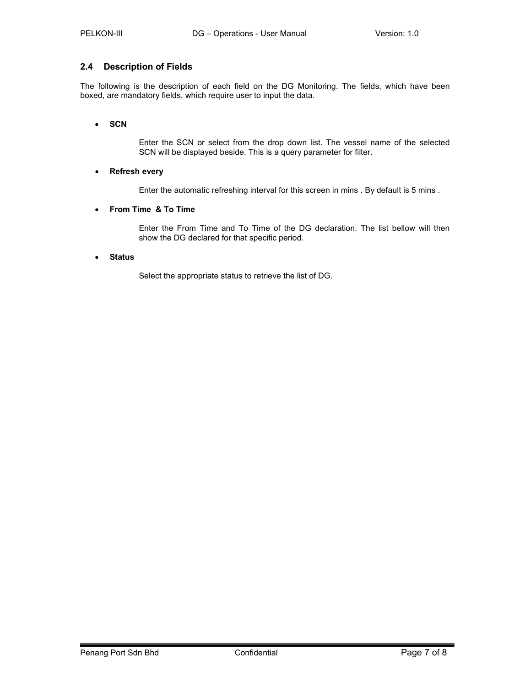### 2.4 Description of Fields

The following is the description of each field on the DG Monitoring. The fields, which have been boxed, are mandatory fields, which require user to input the data.

### • SCN

Enter the SCN or select from the drop down list. The vessel name of the selected SCN will be displayed beside. This is a query parameter for filter.

### • Refresh every

Enter the automatic refreshing interval for this screen in mins . By default is 5 mins .

### • From Time & To Time

Enter the From Time and To Time of the DG declaration. The list bellow will then show the DG declared for that specific period.

### • Status

Select the appropriate status to retrieve the list of DG.